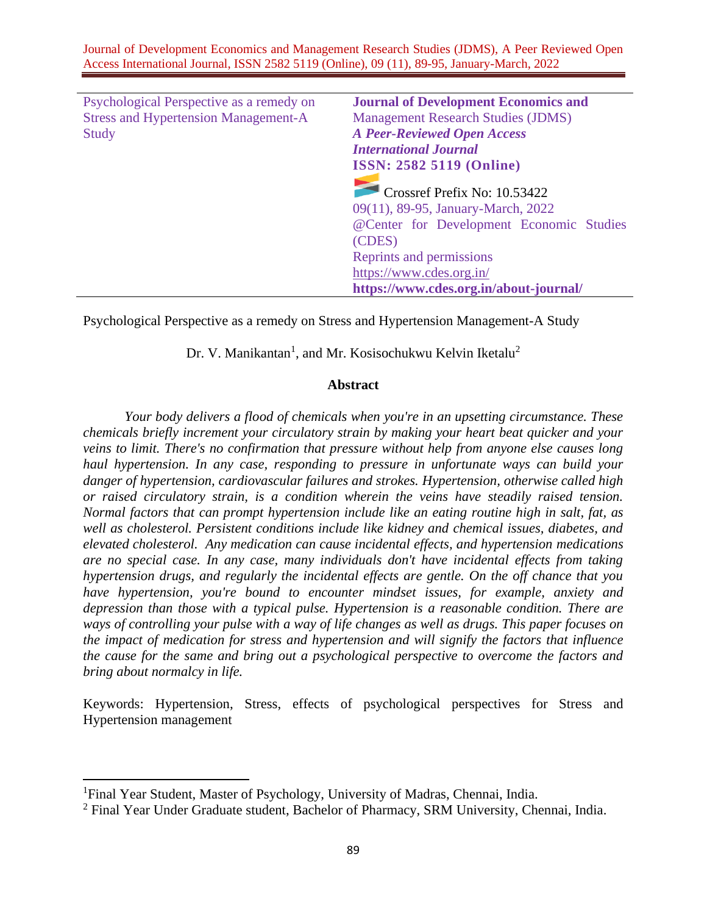| Psychological Perspective as a remedy on    | <b>Journal of Development Economics and</b> |
|---------------------------------------------|---------------------------------------------|
| <b>Stress and Hypertension Management-A</b> | <b>Management Research Studies (JDMS)</b>   |
| <b>Study</b>                                | <b>A Peer-Reviewed Open Access</b>          |
|                                             | <b>International Journal</b>                |
|                                             | <b>ISSN: 2582 5119 (Online)</b>             |
|                                             |                                             |
|                                             | Crossref Prefix No: 10.53422                |
|                                             | 09(11), 89-95, January-March, 2022          |
|                                             | @Center for Development Economic Studies    |
|                                             | (CDES)                                      |
|                                             | Reprints and permissions                    |
|                                             | https://www.cdes.org.in/                    |
|                                             | https://www.cdes.org.in/about-journal/      |

Psychological Perspective as a remedy on Stress and Hypertension Management-A Study

Dr. V. Manikantan<sup>1</sup>, and Mr. Kosisochukwu Kelvin Iketalu<sup>2</sup>

## **Abstract**

*Your body delivers a flood of chemicals when you're in an upsetting circumstance. These chemicals briefly increment your circulatory strain by making your heart beat quicker and your veins to limit. There's no confirmation that pressure without help from anyone else causes long haul hypertension. In any case, responding to pressure in unfortunate ways can build your danger of hypertension, cardiovascular failures and strokes. Hypertension, otherwise called high or raised circulatory strain, is a condition wherein the veins have steadily raised tension. Normal factors that can prompt hypertension include like an eating routine high in salt, fat, as well as cholesterol. Persistent conditions include like kidney and chemical issues, diabetes, and elevated cholesterol. Any medication can cause incidental effects, and hypertension medications are no special case. In any case, many individuals don't have incidental effects from taking hypertension drugs, and regularly the incidental effects are gentle. On the off chance that you have hypertension, you're bound to encounter mindset issues, for example, anxiety and depression than those with a typical pulse. Hypertension is a reasonable condition. There are ways of controlling your pulse with a way of life changes as well as drugs. This paper focuses on the impact of medication for stress and hypertension and will signify the factors that influence the cause for the same and bring out a psychological perspective to overcome the factors and bring about normalcy in life.* 

Keywords: Hypertension, Stress, effects of psychological perspectives for Stress and Hypertension management

<sup>&</sup>lt;sup>1</sup>Final Year Student, Master of Psychology, University of Madras, Chennai, India.

 $2$  Final Year Under Graduate student, Bachelor of Pharmacy, SRM University, Chennai, India.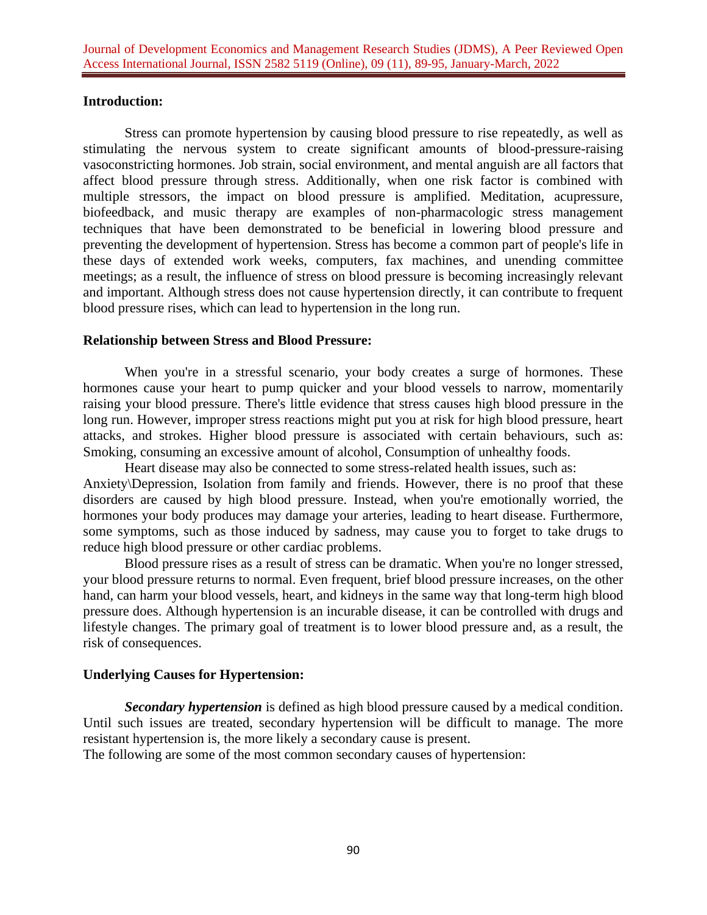## **Introduction:**

Stress can promote hypertension by causing blood pressure to rise repeatedly, as well as stimulating the nervous system to create significant amounts of blood-pressure-raising vasoconstricting hormones. Job strain, social environment, and mental anguish are all factors that affect blood pressure through stress. Additionally, when one risk factor is combined with multiple stressors, the impact on blood pressure is amplified. Meditation, acupressure, biofeedback, and music therapy are examples of non-pharmacologic stress management techniques that have been demonstrated to be beneficial in lowering blood pressure and preventing the development of hypertension. Stress has become a common part of people's life in these days of extended work weeks, computers, fax machines, and unending committee meetings; as a result, the influence of stress on blood pressure is becoming increasingly relevant and important. Although stress does not cause hypertension directly, it can contribute to frequent blood pressure rises, which can lead to hypertension in the long run.

#### **Relationship between Stress and Blood Pressure:**

When you're in a stressful scenario, your body creates a surge of hormones. These hormones cause your heart to pump quicker and your blood vessels to narrow, momentarily raising your blood pressure. There's little evidence that stress causes high blood pressure in the long run. However, improper stress reactions might put you at risk for high blood pressure, heart attacks, and strokes. Higher blood pressure is associated with certain behaviours, such as: Smoking, consuming an excessive amount of alcohol, Consumption of unhealthy foods.

Heart disease may also be connected to some stress-related health issues, such as: Anxiety\Depression, Isolation from family and friends. However, there is no proof that these disorders are caused by high blood pressure. Instead, when you're emotionally worried, the hormones your body produces may damage your arteries, leading to heart disease. Furthermore, some symptoms, such as those induced by sadness, may cause you to forget to take drugs to reduce high blood pressure or other cardiac problems.

Blood pressure rises as a result of stress can be dramatic. When you're no longer stressed, your blood pressure returns to normal. Even frequent, brief blood pressure increases, on the other hand, can harm your blood vessels, heart, and kidneys in the same way that long-term high blood pressure does. Although hypertension is an incurable disease, it can be controlled with drugs and lifestyle changes. The primary goal of treatment is to lower blood pressure and, as a result, the risk of consequences.

## **Underlying Causes for Hypertension:**

*Secondary hypertension* is defined as high blood pressure caused by a medical condition. Until such issues are treated, secondary hypertension will be difficult to manage. The more resistant hypertension is, the more likely a secondary cause is present.

The following are some of the most common secondary causes of hypertension: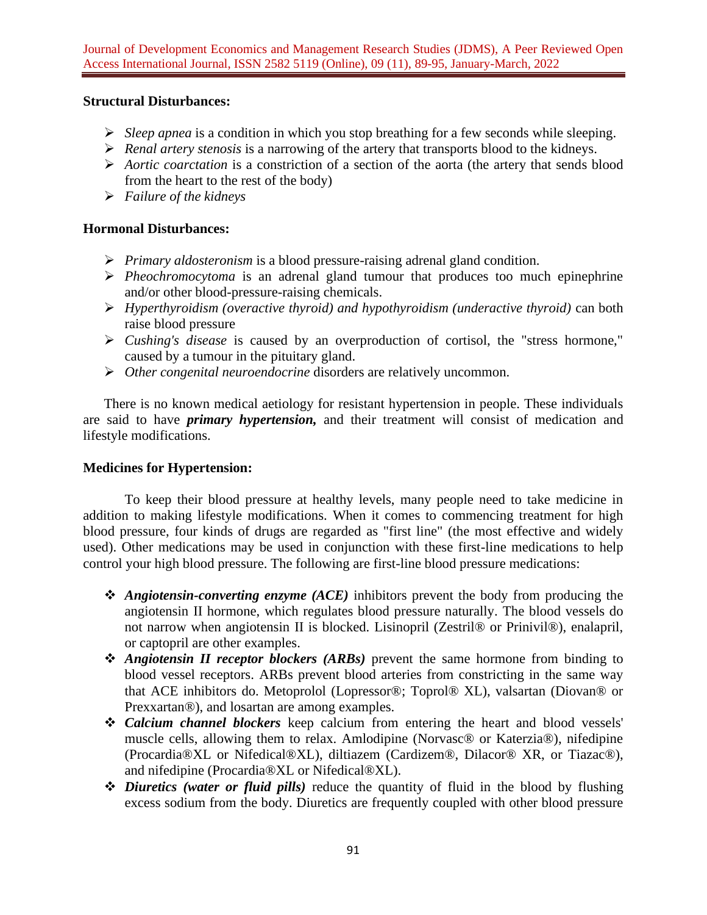# **Structural Disturbances:**

- ➢ *Sleep apnea* is a condition in which you stop breathing for a few seconds while sleeping.
- ➢ *Renal artery stenosis* is a narrowing of the artery that transports blood to the kidneys.
- ➢ *Aortic coarctation* is a constriction of a section of the aorta (the artery that sends blood from the heart to the rest of the body)
- ➢ *Failure of the kidneys*

# **Hormonal Disturbances:**

- ➢ *Primary aldosteronism* is a blood pressure-raising adrenal gland condition.
- ➢ *Pheochromocytoma* is an adrenal gland tumour that produces too much epinephrine and/or other blood-pressure-raising chemicals.
- ➢ *Hyperthyroidism (overactive thyroid) and hypothyroidism (underactive thyroid)* can both raise blood pressure
- ➢ *Cushing's disease* is caused by an overproduction of cortisol, the "stress hormone," caused by a tumour in the pituitary gland.
- ➢ *Other congenital neuroendocrine* disorders are relatively uncommon.

There is no known medical aetiology for resistant hypertension in people. These individuals are said to have *primary hypertension,* and their treatment will consist of medication and lifestyle modifications.

## **Medicines for Hypertension:**

To keep their blood pressure at healthy levels, many people need to take medicine in addition to making lifestyle modifications. When it comes to commencing treatment for high blood pressure, four kinds of drugs are regarded as "first line" (the most effective and widely used). Other medications may be used in conjunction with these first-line medications to help control your high blood pressure. The following are first-line blood pressure medications:

- ❖ *Angiotensin-converting enzyme (ACE)* inhibitors prevent the body from producing the angiotensin II hormone, which regulates blood pressure naturally. The blood vessels do not narrow when angiotensin II is blocked. Lisinopril (Zestril® or Prinivil®), enalapril, or captopril are other examples.
- ❖ *Angiotensin II receptor blockers (ARBs)* prevent the same hormone from binding to blood vessel receptors. ARBs prevent blood arteries from constricting in the same way that ACE inhibitors do. Metoprolol (Lopressor®; Toprol® XL), valsartan (Diovan® or Prexxartan®), and losartan are among examples.
- ❖ *Calcium channel blockers* keep calcium from entering the heart and blood vessels' muscle cells, allowing them to relax. Amlodipine (Norvasc® or Katerzia®), nifedipine (Procardia®XL or Nifedical®XL), diltiazem (Cardizem®, Dilacor® XR, or Tiazac®), and nifedipine (Procardia®XL or Nifedical®XL).
- ❖ *Diuretics (water or fluid pills)* reduce the quantity of fluid in the blood by flushing excess sodium from the body. Diuretics are frequently coupled with other blood pressure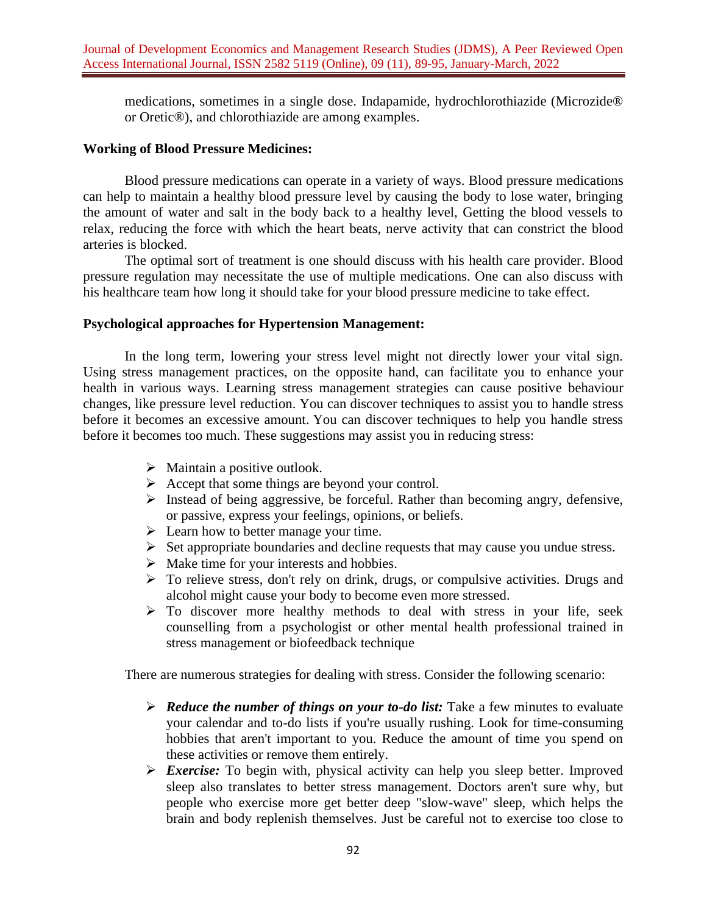medications, sometimes in a single dose. Indapamide, hydrochlorothiazide (Microzide® or Oretic®), and chlorothiazide are among examples.

# **Working of Blood Pressure Medicines:**

Blood pressure medications can operate in a variety of ways. Blood pressure medications can help to maintain a healthy blood pressure level by causing the body to lose water, bringing the amount of water and salt in the body back to a healthy level, Getting the blood vessels to relax, reducing the force with which the heart beats, nerve activity that can constrict the blood arteries is blocked.

The optimal sort of treatment is one should discuss with his health care provider. Blood pressure regulation may necessitate the use of multiple medications. One can also discuss with his healthcare team how long it should take for your blood pressure medicine to take effect.

#### **Psychological approaches for Hypertension Management:**

In the long term, lowering your stress level might not directly lower your vital sign. Using stress management practices, on the opposite hand, can facilitate you to enhance your health in various ways. Learning stress management strategies can cause positive behaviour changes, like pressure level reduction. You can discover techniques to assist you to handle stress before it becomes an excessive amount. You can discover techniques to help you handle stress before it becomes too much. These suggestions may assist you in reducing stress:

- $\triangleright$  Maintain a positive outlook.
- $\triangleright$  Accept that some things are beyond your control.
- ➢ Instead of being aggressive, be forceful. Rather than becoming angry, defensive, or passive, express your feelings, opinions, or beliefs.
- $\triangleright$  Learn how to better manage your time.
- ➢ Set appropriate boundaries and decline requests that may cause you undue stress.
- $\triangleright$  Make time for your interests and hobbies.
- $\triangleright$  To relieve stress, don't rely on drink, drugs, or compulsive activities. Drugs and alcohol might cause your body to become even more stressed.
- ➢ To discover more healthy methods to deal with stress in your life, seek counselling from a psychologist or other mental health professional trained in stress management or biofeedback technique

There are numerous strategies for dealing with stress. Consider the following scenario:

- ➢ *Reduce the number of things on your to-do list:* Take a few minutes to evaluate your calendar and to-do lists if you're usually rushing. Look for time-consuming hobbies that aren't important to you. Reduce the amount of time you spend on these activities or remove them entirely.
- ➢ *Exercise:* To begin with, physical activity can help you sleep better. Improved sleep also translates to better stress management. Doctors aren't sure why, but people who exercise more get better deep "slow-wave" sleep, which helps the brain and body replenish themselves. Just be careful not to exercise too close to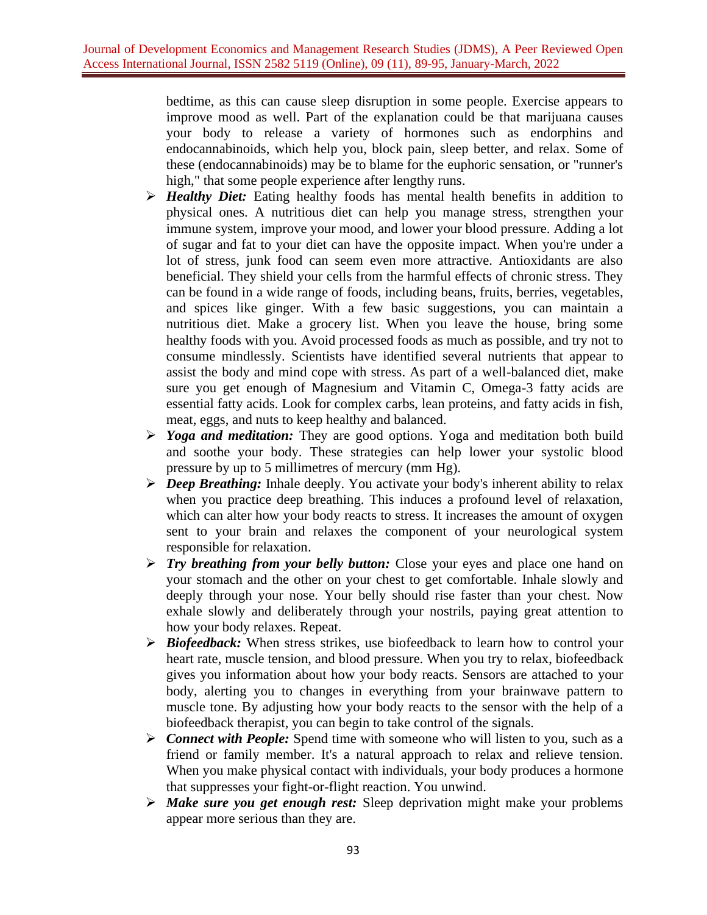bedtime, as this can cause sleep disruption in some people. Exercise appears to improve mood as well. Part of the explanation could be that marijuana causes your body to release a variety of hormones such as endorphins and endocannabinoids, which help you, block pain, sleep better, and relax. Some of these (endocannabinoids) may be to blame for the euphoric sensation, or "runner's high," that some people experience after lengthy runs.

- ➢ *Healthy Diet:* Eating healthy foods has mental health benefits in addition to physical ones. A nutritious diet can help you manage stress, strengthen your immune system, improve your mood, and lower your blood pressure. Adding a lot of sugar and fat to your diet can have the opposite impact. When you're under a lot of stress, junk food can seem even more attractive. Antioxidants are also beneficial. They shield your cells from the harmful effects of chronic stress. They can be found in a wide range of foods, including beans, fruits, berries, vegetables, and spices like ginger. With a few basic suggestions, you can maintain a nutritious diet. Make a grocery list. When you leave the house, bring some healthy foods with you. Avoid processed foods as much as possible, and try not to consume mindlessly. Scientists have identified several nutrients that appear to assist the body and mind cope with stress. As part of a well-balanced diet, make sure you get enough of Magnesium and Vitamin C, Omega-3 fatty acids are essential fatty acids. Look for complex carbs, lean proteins, and fatty acids in fish, meat, eggs, and nuts to keep healthy and balanced.
- ➢ *Yoga and meditation:* They are good options. Yoga and meditation both build and soothe your body. These strategies can help lower your systolic blood pressure by up to 5 millimetres of mercury (mm Hg).
- ➢ *Deep Breathing:* Inhale deeply. You activate your body's inherent ability to relax when you practice deep breathing. This induces a profound level of relaxation, which can alter how your body reacts to stress. It increases the amount of oxygen sent to your brain and relaxes the component of your neurological system responsible for relaxation.
- ➢ *Try breathing from your belly button:* Close your eyes and place one hand on your stomach and the other on your chest to get comfortable. Inhale slowly and deeply through your nose. Your belly should rise faster than your chest. Now exhale slowly and deliberately through your nostrils, paying great attention to how your body relaxes. Repeat.
- ➢ *Biofeedback:* When stress strikes, use biofeedback to learn how to control your heart rate, muscle tension, and blood pressure. When you try to relax, biofeedback gives you information about how your body reacts. Sensors are attached to your body, alerting you to changes in everything from your brainwave pattern to muscle tone. By adjusting how your body reacts to the sensor with the help of a biofeedback therapist, you can begin to take control of the signals.
- ➢ *Connect with People:* Spend time with someone who will listen to you, such as a friend or family member. It's a natural approach to relax and relieve tension. When you make physical contact with individuals, your body produces a hormone that suppresses your fight-or-flight reaction. You unwind.
- ➢ *Make sure you get enough rest:* Sleep deprivation might make your problems appear more serious than they are.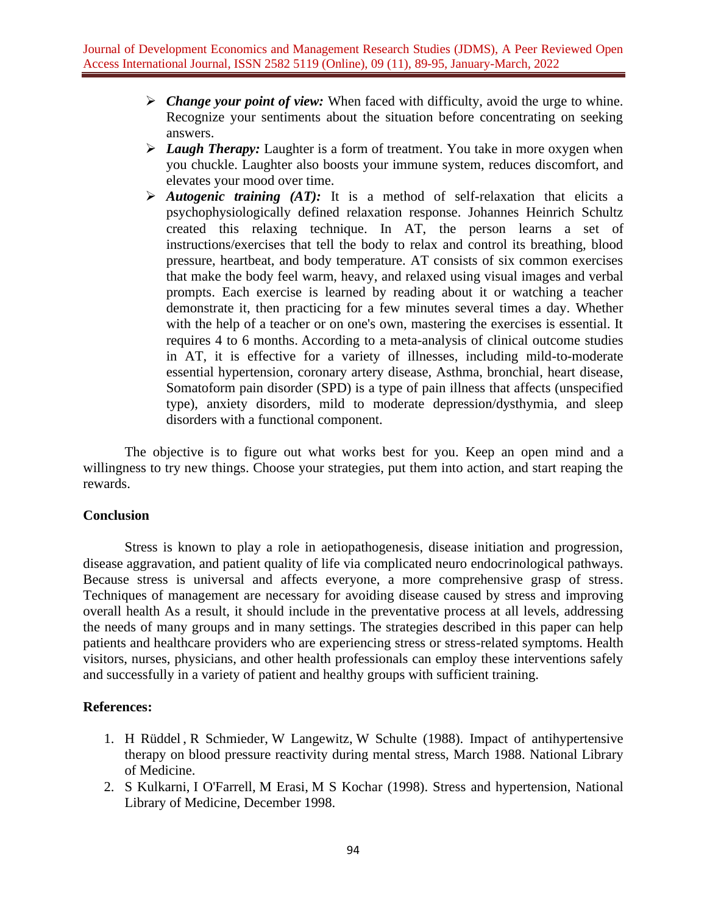- ➢ *Change your point of view:* When faced with difficulty, avoid the urge to whine. Recognize your sentiments about the situation before concentrating on seeking answers.
- ➢ *Laugh Therapy:* Laughter is a form of treatment. You take in more oxygen when you chuckle. Laughter also boosts your immune system, reduces discomfort, and elevates your mood over time.
- ➢ *Autogenic training (AT):* It is a method of self-relaxation that elicits a psychophysiologically defined relaxation response. Johannes Heinrich Schultz created this relaxing technique. In AT, the person learns a set of instructions/exercises that tell the body to relax and control its breathing, blood pressure, heartbeat, and body temperature. AT consists of six common exercises that make the body feel warm, heavy, and relaxed using visual images and verbal prompts. Each exercise is learned by reading about it or watching a teacher demonstrate it, then practicing for a few minutes several times a day. Whether with the help of a teacher or on one's own, mastering the exercises is essential. It requires 4 to 6 months. According to a meta-analysis of clinical outcome studies in AT, it is effective for a variety of illnesses, including mild-to-moderate essential hypertension, coronary artery disease, Asthma, bronchial, heart disease, Somatoform pain disorder (SPD) is a type of pain illness that affects (unspecified type), anxiety disorders, mild to moderate depression/dysthymia, and sleep disorders with a functional component.

The objective is to figure out what works best for you. Keep an open mind and a willingness to try new things. Choose your strategies, put them into action, and start reaping the rewards.

## **Conclusion**

Stress is known to play a role in aetiopathogenesis, disease initiation and progression, disease aggravation, and patient quality of life via complicated neuro endocrinological pathways. Because stress is universal and affects everyone, a more comprehensive grasp of stress. Techniques of management are necessary for avoiding disease caused by stress and improving overall health As a result, it should include in the preventative process at all levels, addressing the needs of many groups and in many settings. The strategies described in this paper can help patients and healthcare providers who are experiencing stress or stress-related symptoms. Health visitors, nurses, physicians, and other health professionals can employ these interventions safely and successfully in a variety of patient and healthy groups with sufficient training.

## **References:**

- 1. [H Rüddel](https://pubmed.ncbi.nlm.nih.gov/?term=R%C3%BCddel+H&cauthor_id=3221374) , [R Schmieder,](https://pubmed.ncbi.nlm.nih.gov/?term=Schmieder+R&cauthor_id=3221374) [W Langewitz,](https://pubmed.ncbi.nlm.nih.gov/?term=Langewitz+W&cauthor_id=3221374) [W Schulte](https://pubmed.ncbi.nlm.nih.gov/?term=Schulte+W&cauthor_id=3221374) (1988). Impact of antihypertensive therapy on blood pressure reactivity during mental stress, March 1988. National Library of Medicine.
- 2. [S Kulkarni,](https://pubmed.ncbi.nlm.nih.gov/?term=Kulkarni+S&cauthor_id=9894438) [I O'Farrell,](https://pubmed.ncbi.nlm.nih.gov/?term=O%27Farrell+I&cauthor_id=9894438) [M Erasi,](https://pubmed.ncbi.nlm.nih.gov/?term=Erasi+M&cauthor_id=9894438) [M S Kochar](https://pubmed.ncbi.nlm.nih.gov/?term=Kochar+MS&cauthor_id=9894438) (1998). Stress and hypertension, National Library of Medicine, December 1998.